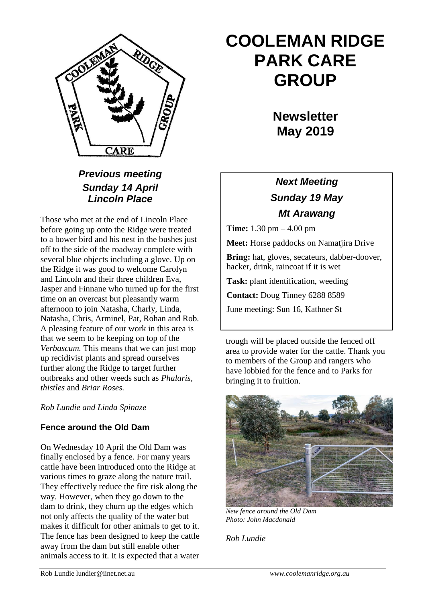

# *Previous meeting Sunday 14 April Lincoln Place*

Those who met at the end of Lincoln Place before going up onto the Ridge were treated to a bower bird and his nest in the bushes just off to the side of the roadway complete with several blue objects including a glove. Up on the Ridge it was good to welcome Carolyn and Lincoln and their three children Eva, Jasper and Finnane who turned up for the first time on an overcast but pleasantly warm afternoon to join Natasha, Charly, Linda, Natasha, Chris, Arminel, Pat, Rohan and Rob. A pleasing feature of our work in this area is that we seem to be keeping on top of the *Verbascum.* This means that we can just mop up recidivist plants and spread ourselves further along the Ridge to target further outbreaks and other weeds such as *Phalaris, thistles* and *Briar Roses.*

*Rob Lundie and Linda Spinaze*

# **Fence around the Old Dam**

On Wednesday 10 April the Old Dam was finally enclosed by a fence. For many years cattle have been introduced onto the Ridge at various times to graze along the nature trail. They effectively reduce the fire risk along the way. However, when they go down to the dam to drink, they churn up the edges which not only affects the quality of the water but makes it difficult for other animals to get to it. The fence has been designed to keep the cattle away from the dam but still enable other animals access to it. It is expected that a water

# **COOLEMAN RIDGE PARK CARE GROUP**

**Newsletter May 2019** 

# *Next Meeting Sunday 19 May Mt Arawang*

**Time:** 1.30 pm – 4.00 pm

**Meet:** Horse paddocks on Namatjira Drive

**Bring:** hat, gloves, secateurs, dabber-doover, hacker, drink, raincoat if it is wet

**Task:** plant identification, weeding

**Contact:** Doug Tinney 6288 8589

June meeting: Sun 16, Kathner St

trough will be placed outside the fenced off area to provide water for the cattle. Thank you to members of the Group and rangers who have lobbied for the fence and to Parks for bringing it to fruition.



*New fence around the Old Dam Photo: John Macdonald*

*Rob Lundie*